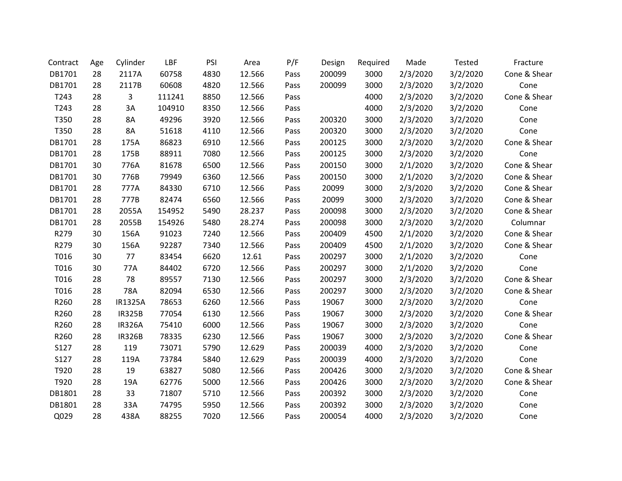| Contract | Age | Cylinder       | LBF    | PSI  | Area   | P/F  | Design | Required | Made     | Tested   | Fracture     |
|----------|-----|----------------|--------|------|--------|------|--------|----------|----------|----------|--------------|
| DB1701   | 28  | 2117A          | 60758  | 4830 | 12.566 | Pass | 200099 | 3000     | 2/3/2020 | 3/2/2020 | Cone & Shear |
| DB1701   | 28  | 2117B          | 60608  | 4820 | 12.566 | Pass | 200099 | 3000     | 2/3/2020 | 3/2/2020 | Cone         |
| T243     | 28  | 3              | 111241 | 8850 | 12.566 | Pass |        | 4000     | 2/3/2020 | 3/2/2020 | Cone & Shear |
| T243     | 28  | 3A             | 104910 | 8350 | 12.566 | Pass |        | 4000     | 2/3/2020 | 3/2/2020 | Cone         |
| T350     | 28  | 8A             | 49296  | 3920 | 12.566 | Pass | 200320 | 3000     | 2/3/2020 | 3/2/2020 | Cone         |
| T350     | 28  | <b>8A</b>      | 51618  | 4110 | 12.566 | Pass | 200320 | 3000     | 2/3/2020 | 3/2/2020 | Cone         |
| DB1701   | 28  | 175A           | 86823  | 6910 | 12.566 | Pass | 200125 | 3000     | 2/3/2020 | 3/2/2020 | Cone & Shear |
| DB1701   | 28  | 175B           | 88911  | 7080 | 12.566 | Pass | 200125 | 3000     | 2/3/2020 | 3/2/2020 | Cone         |
| DB1701   | 30  | 776A           | 81678  | 6500 | 12.566 | Pass | 200150 | 3000     | 2/1/2020 | 3/2/2020 | Cone & Shear |
| DB1701   | 30  | 776B           | 79949  | 6360 | 12.566 | Pass | 200150 | 3000     | 2/1/2020 | 3/2/2020 | Cone & Shear |
| DB1701   | 28  | 777A           | 84330  | 6710 | 12.566 | Pass | 20099  | 3000     | 2/3/2020 | 3/2/2020 | Cone & Shear |
| DB1701   | 28  | 777B           | 82474  | 6560 | 12.566 | Pass | 20099  | 3000     | 2/3/2020 | 3/2/2020 | Cone & Shear |
| DB1701   | 28  | 2055A          | 154952 | 5490 | 28.237 | Pass | 200098 | 3000     | 2/3/2020 | 3/2/2020 | Cone & Shear |
| DB1701   | 28  | 2055B          | 154926 | 5480 | 28.274 | Pass | 200098 | 3000     | 2/3/2020 | 3/2/2020 | Columnar     |
| R279     | 30  | 156A           | 91023  | 7240 | 12.566 | Pass | 200409 | 4500     | 2/1/2020 | 3/2/2020 | Cone & Shear |
| R279     | 30  | 156A           | 92287  | 7340 | 12.566 | Pass | 200409 | 4500     | 2/1/2020 | 3/2/2020 | Cone & Shear |
| T016     | 30  | 77             | 83454  | 6620 | 12.61  | Pass | 200297 | 3000     | 2/1/2020 | 3/2/2020 | Cone         |
| T016     | 30  | 77A            | 84402  | 6720 | 12.566 | Pass | 200297 | 3000     | 2/1/2020 | 3/2/2020 | Cone         |
| T016     | 28  | 78             | 89557  | 7130 | 12.566 | Pass | 200297 | 3000     | 2/3/2020 | 3/2/2020 | Cone & Shear |
| T016     | 28  | 78A            | 82094  | 6530 | 12.566 | Pass | 200297 | 3000     | 2/3/2020 | 3/2/2020 | Cone & Shear |
| R260     | 28  | <b>IR1325A</b> | 78653  | 6260 | 12.566 | Pass | 19067  | 3000     | 2/3/2020 | 3/2/2020 | Cone         |
| R260     | 28  | <b>IR325B</b>  | 77054  | 6130 | 12.566 | Pass | 19067  | 3000     | 2/3/2020 | 3/2/2020 | Cone & Shear |
| R260     | 28  | <b>IR326A</b>  | 75410  | 6000 | 12.566 | Pass | 19067  | 3000     | 2/3/2020 | 3/2/2020 | Cone         |
| R260     | 28  | <b>IR326B</b>  | 78335  | 6230 | 12.566 | Pass | 19067  | 3000     | 2/3/2020 | 3/2/2020 | Cone & Shear |
| S127     | 28  | 119            | 73071  | 5790 | 12.629 | Pass | 200039 | 4000     | 2/3/2020 | 3/2/2020 | Cone         |
| S127     | 28  | 119A           | 73784  | 5840 | 12.629 | Pass | 200039 | 4000     | 2/3/2020 | 3/2/2020 | Cone         |
| T920     | 28  | 19             | 63827  | 5080 | 12.566 | Pass | 200426 | 3000     | 2/3/2020 | 3/2/2020 | Cone & Shear |
| T920     | 28  | 19A            | 62776  | 5000 | 12.566 | Pass | 200426 | 3000     | 2/3/2020 | 3/2/2020 | Cone & Shear |
| DB1801   | 28  | 33             | 71807  | 5710 | 12.566 | Pass | 200392 | 3000     | 2/3/2020 | 3/2/2020 | Cone         |
| DB1801   | 28  | 33A            | 74795  | 5950 | 12.566 | Pass | 200392 | 3000     | 2/3/2020 | 3/2/2020 | Cone         |
| Q029     | 28  | 438A           | 88255  | 7020 | 12.566 | Pass | 200054 | 4000     | 2/3/2020 | 3/2/2020 | Cone         |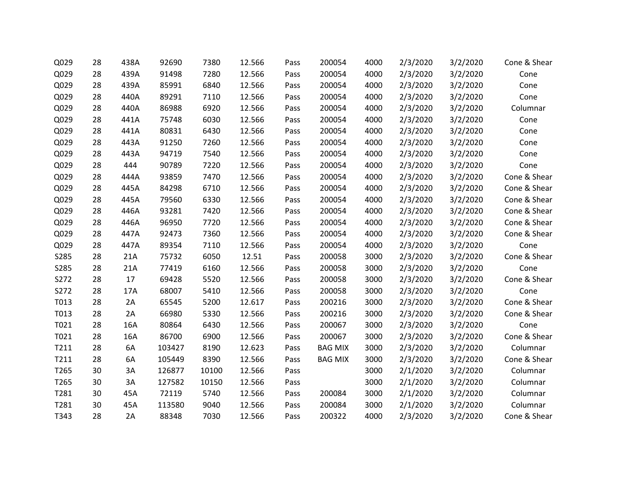| Q029 | 28 | 438A | 92690  | 7380  | 12.566 | Pass | 200054         | 4000 | 2/3/2020 | 3/2/2020 | Cone & Shear |
|------|----|------|--------|-------|--------|------|----------------|------|----------|----------|--------------|
| Q029 | 28 | 439A | 91498  | 7280  | 12.566 | Pass | 200054         | 4000 | 2/3/2020 | 3/2/2020 | Cone         |
| Q029 | 28 | 439A | 85991  | 6840  | 12.566 | Pass | 200054         | 4000 | 2/3/2020 | 3/2/2020 | Cone         |
| Q029 | 28 | 440A | 89291  | 7110  | 12.566 | Pass | 200054         | 4000 | 2/3/2020 | 3/2/2020 | Cone         |
| Q029 | 28 | 440A | 86988  | 6920  | 12.566 | Pass | 200054         | 4000 | 2/3/2020 | 3/2/2020 | Columnar     |
| Q029 | 28 | 441A | 75748  | 6030  | 12.566 | Pass | 200054         | 4000 | 2/3/2020 | 3/2/2020 | Cone         |
| Q029 | 28 | 441A | 80831  | 6430  | 12.566 | Pass | 200054         | 4000 | 2/3/2020 | 3/2/2020 | Cone         |
| Q029 | 28 | 443A | 91250  | 7260  | 12.566 | Pass | 200054         | 4000 | 2/3/2020 | 3/2/2020 | Cone         |
| Q029 | 28 | 443A | 94719  | 7540  | 12.566 | Pass | 200054         | 4000 | 2/3/2020 | 3/2/2020 | Cone         |
| Q029 | 28 | 444  | 90789  | 7220  | 12.566 | Pass | 200054         | 4000 | 2/3/2020 | 3/2/2020 | Cone         |
| Q029 | 28 | 444A | 93859  | 7470  | 12.566 | Pass | 200054         | 4000 | 2/3/2020 | 3/2/2020 | Cone & Shear |
| Q029 | 28 | 445A | 84298  | 6710  | 12.566 | Pass | 200054         | 4000 | 2/3/2020 | 3/2/2020 | Cone & Shear |
| Q029 | 28 | 445A | 79560  | 6330  | 12.566 | Pass | 200054         | 4000 | 2/3/2020 | 3/2/2020 | Cone & Shear |
| Q029 | 28 | 446A | 93281  | 7420  | 12.566 | Pass | 200054         | 4000 | 2/3/2020 | 3/2/2020 | Cone & Shear |
| Q029 | 28 | 446A | 96950  | 7720  | 12.566 | Pass | 200054         | 4000 | 2/3/2020 | 3/2/2020 | Cone & Shear |
| Q029 | 28 | 447A | 92473  | 7360  | 12.566 | Pass | 200054         | 4000 | 2/3/2020 | 3/2/2020 | Cone & Shear |
| Q029 | 28 | 447A | 89354  | 7110  | 12.566 | Pass | 200054         | 4000 | 2/3/2020 | 3/2/2020 | Cone         |
| S285 | 28 | 21A  | 75732  | 6050  | 12.51  | Pass | 200058         | 3000 | 2/3/2020 | 3/2/2020 | Cone & Shear |
| S285 | 28 | 21A  | 77419  | 6160  | 12.566 | Pass | 200058         | 3000 | 2/3/2020 | 3/2/2020 | Cone         |
| S272 | 28 | 17   | 69428  | 5520  | 12.566 | Pass | 200058         | 3000 | 2/3/2020 | 3/2/2020 | Cone & Shear |
| S272 | 28 | 17A  | 68007  | 5410  | 12.566 | Pass | 200058         | 3000 | 2/3/2020 | 3/2/2020 | Cone         |
| T013 | 28 | 2A   | 65545  | 5200  | 12.617 | Pass | 200216         | 3000 | 2/3/2020 | 3/2/2020 | Cone & Shear |
| T013 | 28 | 2A   | 66980  | 5330  | 12.566 | Pass | 200216         | 3000 | 2/3/2020 | 3/2/2020 | Cone & Shear |
| T021 | 28 | 16A  | 80864  | 6430  | 12.566 | Pass | 200067         | 3000 | 2/3/2020 | 3/2/2020 | Cone         |
| T021 | 28 | 16A  | 86700  | 6900  | 12.566 | Pass | 200067         | 3000 | 2/3/2020 | 3/2/2020 | Cone & Shear |
| T211 | 28 | 6A   | 103427 | 8190  | 12.623 | Pass | <b>BAG MIX</b> | 3000 | 2/3/2020 | 3/2/2020 | Columnar     |
| T211 | 28 | 6A   | 105449 | 8390  | 12.566 | Pass | <b>BAG MIX</b> | 3000 | 2/3/2020 | 3/2/2020 | Cone & Shear |
| T265 | 30 | 3A   | 126877 | 10100 | 12.566 | Pass |                | 3000 | 2/1/2020 | 3/2/2020 | Columnar     |
| T265 | 30 | 3A   | 127582 | 10150 | 12.566 | Pass |                | 3000 | 2/1/2020 | 3/2/2020 | Columnar     |
| T281 | 30 | 45A  | 72119  | 5740  | 12.566 | Pass | 200084         | 3000 | 2/1/2020 | 3/2/2020 | Columnar     |
| T281 | 30 | 45A  | 113580 | 9040  | 12.566 | Pass | 200084         | 3000 | 2/1/2020 | 3/2/2020 | Columnar     |
| T343 | 28 | 2A   | 88348  | 7030  | 12.566 | Pass | 200322         | 4000 | 2/3/2020 | 3/2/2020 | Cone & Shear |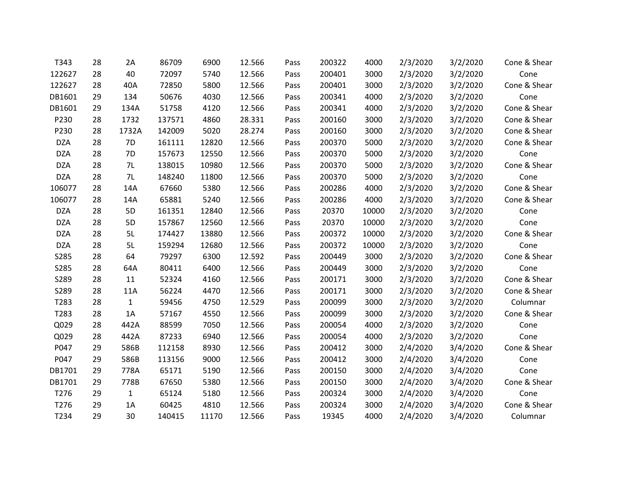| T343       | 28 | 2A           | 86709  | 6900  | 12.566 | Pass | 200322 | 4000  | 2/3/2020 | 3/2/2020 | Cone & Shear |
|------------|----|--------------|--------|-------|--------|------|--------|-------|----------|----------|--------------|
| 122627     | 28 | 40           | 72097  | 5740  | 12.566 | Pass | 200401 | 3000  | 2/3/2020 | 3/2/2020 | Cone         |
| 122627     | 28 | 40A          | 72850  | 5800  | 12.566 | Pass | 200401 | 3000  | 2/3/2020 | 3/2/2020 | Cone & Shear |
| DB1601     | 29 | 134          | 50676  | 4030  | 12.566 | Pass | 200341 | 4000  | 2/3/2020 | 3/2/2020 | Cone         |
| DB1601     | 29 | 134A         | 51758  | 4120  | 12.566 | Pass | 200341 | 4000  | 2/3/2020 | 3/2/2020 | Cone & Shear |
| P230       | 28 | 1732         | 137571 | 4860  | 28.331 | Pass | 200160 | 3000  | 2/3/2020 | 3/2/2020 | Cone & Shear |
| P230       | 28 | 1732A        | 142009 | 5020  | 28.274 | Pass | 200160 | 3000  | 2/3/2020 | 3/2/2020 | Cone & Shear |
| <b>DZA</b> | 28 | 7D           | 161111 | 12820 | 12.566 | Pass | 200370 | 5000  | 2/3/2020 | 3/2/2020 | Cone & Shear |
| <b>DZA</b> | 28 | 7D           | 157673 | 12550 | 12.566 | Pass | 200370 | 5000  | 2/3/2020 | 3/2/2020 | Cone         |
| <b>DZA</b> | 28 | 7L           | 138015 | 10980 | 12.566 | Pass | 200370 | 5000  | 2/3/2020 | 3/2/2020 | Cone & Shear |
| <b>DZA</b> | 28 | 7L           | 148240 | 11800 | 12.566 | Pass | 200370 | 5000  | 2/3/2020 | 3/2/2020 | Cone         |
| 106077     | 28 | 14A          | 67660  | 5380  | 12.566 | Pass | 200286 | 4000  | 2/3/2020 | 3/2/2020 | Cone & Shear |
| 106077     | 28 | 14A          | 65881  | 5240  | 12.566 | Pass | 200286 | 4000  | 2/3/2020 | 3/2/2020 | Cone & Shear |
| <b>DZA</b> | 28 | 5D           | 161351 | 12840 | 12.566 | Pass | 20370  | 10000 | 2/3/2020 | 3/2/2020 | Cone         |
| <b>DZA</b> | 28 | 5D           | 157867 | 12560 | 12.566 | Pass | 20370  | 10000 | 2/3/2020 | 3/2/2020 | Cone         |
| <b>DZA</b> | 28 | 5L           | 174427 | 13880 | 12.566 | Pass | 200372 | 10000 | 2/3/2020 | 3/2/2020 | Cone & Shear |
| <b>DZA</b> | 28 | 5L           | 159294 | 12680 | 12.566 | Pass | 200372 | 10000 | 2/3/2020 | 3/2/2020 | Cone         |
| S285       | 28 | 64           | 79297  | 6300  | 12.592 | Pass | 200449 | 3000  | 2/3/2020 | 3/2/2020 | Cone & Shear |
| S285       | 28 | 64A          | 80411  | 6400  | 12.566 | Pass | 200449 | 3000  | 2/3/2020 | 3/2/2020 | Cone         |
| S289       | 28 | 11           | 52324  | 4160  | 12.566 | Pass | 200171 | 3000  | 2/3/2020 | 3/2/2020 | Cone & Shear |
| S289       | 28 | 11A          | 56224  | 4470  | 12.566 | Pass | 200171 | 3000  | 2/3/2020 | 3/2/2020 | Cone & Shear |
| T283       | 28 | $\mathbf{1}$ | 59456  | 4750  | 12.529 | Pass | 200099 | 3000  | 2/3/2020 | 3/2/2020 | Columnar     |
| T283       | 28 | 1A           | 57167  | 4550  | 12.566 | Pass | 200099 | 3000  | 2/3/2020 | 3/2/2020 | Cone & Shear |
| Q029       | 28 | 442A         | 88599  | 7050  | 12.566 | Pass | 200054 | 4000  | 2/3/2020 | 3/2/2020 | Cone         |
| Q029       | 28 | 442A         | 87233  | 6940  | 12.566 | Pass | 200054 | 4000  | 2/3/2020 | 3/2/2020 | Cone         |
| P047       | 29 | 586B         | 112158 | 8930  | 12.566 | Pass | 200412 | 3000  | 2/4/2020 | 3/4/2020 | Cone & Shear |
| P047       | 29 | 586B         | 113156 | 9000  | 12.566 | Pass | 200412 | 3000  | 2/4/2020 | 3/4/2020 | Cone         |
| DB1701     | 29 | 778A         | 65171  | 5190  | 12.566 | Pass | 200150 | 3000  | 2/4/2020 | 3/4/2020 | Cone         |
| DB1701     | 29 | 778B         | 67650  | 5380  | 12.566 | Pass | 200150 | 3000  | 2/4/2020 | 3/4/2020 | Cone & Shear |
| T276       | 29 | $\mathbf{1}$ | 65124  | 5180  | 12.566 | Pass | 200324 | 3000  | 2/4/2020 | 3/4/2020 | Cone         |
| T276       | 29 | 1A           | 60425  | 4810  | 12.566 | Pass | 200324 | 3000  | 2/4/2020 | 3/4/2020 | Cone & Shear |
| T234       | 29 | 30           | 140415 | 11170 | 12.566 | Pass | 19345  | 4000  | 2/4/2020 | 3/4/2020 | Columnar     |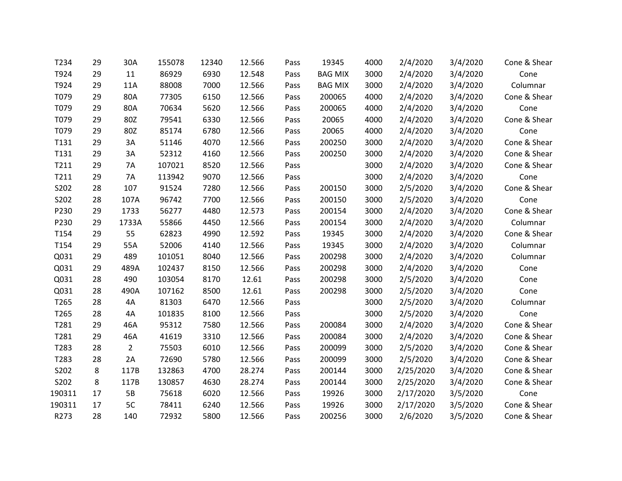| T234   | 29 | 30A            | 155078 | 12340 | 12.566 | Pass | 19345          | 4000 | 2/4/2020  | 3/4/2020 | Cone & Shear |
|--------|----|----------------|--------|-------|--------|------|----------------|------|-----------|----------|--------------|
| T924   | 29 | 11             | 86929  | 6930  | 12.548 | Pass | <b>BAG MIX</b> | 3000 | 2/4/2020  | 3/4/2020 | Cone         |
| T924   | 29 | 11A            | 88008  | 7000  | 12.566 | Pass | <b>BAG MIX</b> | 3000 | 2/4/2020  | 3/4/2020 | Columnar     |
| T079   | 29 | 80A            | 77305  | 6150  | 12.566 | Pass | 200065         | 4000 | 2/4/2020  | 3/4/2020 | Cone & Shear |
| T079   | 29 | 80A            | 70634  | 5620  | 12.566 | Pass | 200065         | 4000 | 2/4/2020  | 3/4/2020 | Cone         |
| T079   | 29 | 80Z            | 79541  | 6330  | 12.566 | Pass | 20065          | 4000 | 2/4/2020  | 3/4/2020 | Cone & Shear |
| T079   | 29 | 80Z            | 85174  | 6780  | 12.566 | Pass | 20065          | 4000 | 2/4/2020  | 3/4/2020 | Cone         |
| T131   | 29 | 3A             | 51146  | 4070  | 12.566 | Pass | 200250         | 3000 | 2/4/2020  | 3/4/2020 | Cone & Shear |
| T131   | 29 | 3A             | 52312  | 4160  | 12.566 | Pass | 200250         | 3000 | 2/4/2020  | 3/4/2020 | Cone & Shear |
| T211   | 29 | <b>7A</b>      | 107021 | 8520  | 12.566 | Pass |                | 3000 | 2/4/2020  | 3/4/2020 | Cone & Shear |
| T211   | 29 | 7A             | 113942 | 9070  | 12.566 | Pass |                | 3000 | 2/4/2020  | 3/4/2020 | Cone         |
| S202   | 28 | 107            | 91524  | 7280  | 12.566 | Pass | 200150         | 3000 | 2/5/2020  | 3/4/2020 | Cone & Shear |
| S202   | 28 | 107A           | 96742  | 7700  | 12.566 | Pass | 200150         | 3000 | 2/5/2020  | 3/4/2020 | Cone         |
| P230   | 29 | 1733           | 56277  | 4480  | 12.573 | Pass | 200154         | 3000 | 2/4/2020  | 3/4/2020 | Cone & Shear |
| P230   | 29 | 1733A          | 55866  | 4450  | 12.566 | Pass | 200154         | 3000 | 2/4/2020  | 3/4/2020 | Columnar     |
| T154   | 29 | 55             | 62823  | 4990  | 12.592 | Pass | 19345          | 3000 | 2/4/2020  | 3/4/2020 | Cone & Shear |
| T154   | 29 | 55A            | 52006  | 4140  | 12.566 | Pass | 19345          | 3000 | 2/4/2020  | 3/4/2020 | Columnar     |
| Q031   | 29 | 489            | 101051 | 8040  | 12.566 | Pass | 200298         | 3000 | 2/4/2020  | 3/4/2020 | Columnar     |
| Q031   | 29 | 489A           | 102437 | 8150  | 12.566 | Pass | 200298         | 3000 | 2/4/2020  | 3/4/2020 | Cone         |
| Q031   | 28 | 490            | 103054 | 8170  | 12.61  | Pass | 200298         | 3000 | 2/5/2020  | 3/4/2020 | Cone         |
| Q031   | 28 | 490A           | 107162 | 8500  | 12.61  | Pass | 200298         | 3000 | 2/5/2020  | 3/4/2020 | Cone         |
| T265   | 28 | 4A             | 81303  | 6470  | 12.566 | Pass |                | 3000 | 2/5/2020  | 3/4/2020 | Columnar     |
| T265   | 28 | 4A             | 101835 | 8100  | 12.566 | Pass |                | 3000 | 2/5/2020  | 3/4/2020 | Cone         |
| T281   | 29 | 46A            | 95312  | 7580  | 12.566 | Pass | 200084         | 3000 | 2/4/2020  | 3/4/2020 | Cone & Shear |
| T281   | 29 | 46A            | 41619  | 3310  | 12.566 | Pass | 200084         | 3000 | 2/4/2020  | 3/4/2020 | Cone & Shear |
| T283   | 28 | $\overline{2}$ | 75503  | 6010  | 12.566 | Pass | 200099         | 3000 | 2/5/2020  | 3/4/2020 | Cone & Shear |
| T283   | 28 | 2A             | 72690  | 5780  | 12.566 | Pass | 200099         | 3000 | 2/5/2020  | 3/4/2020 | Cone & Shear |
| S202   | 8  | 117B           | 132863 | 4700  | 28.274 | Pass | 200144         | 3000 | 2/25/2020 | 3/4/2020 | Cone & Shear |
| S202   | 8  | 117B           | 130857 | 4630  | 28.274 | Pass | 200144         | 3000 | 2/25/2020 | 3/4/2020 | Cone & Shear |
| 190311 | 17 | <b>5B</b>      | 75618  | 6020  | 12.566 | Pass | 19926          | 3000 | 2/17/2020 | 3/5/2020 | Cone         |
| 190311 | 17 | 5C             | 78411  | 6240  | 12.566 | Pass | 19926          | 3000 | 2/17/2020 | 3/5/2020 | Cone & Shear |
| R273   | 28 | 140            | 72932  | 5800  | 12.566 | Pass | 200256         | 3000 | 2/6/2020  | 3/5/2020 | Cone & Shear |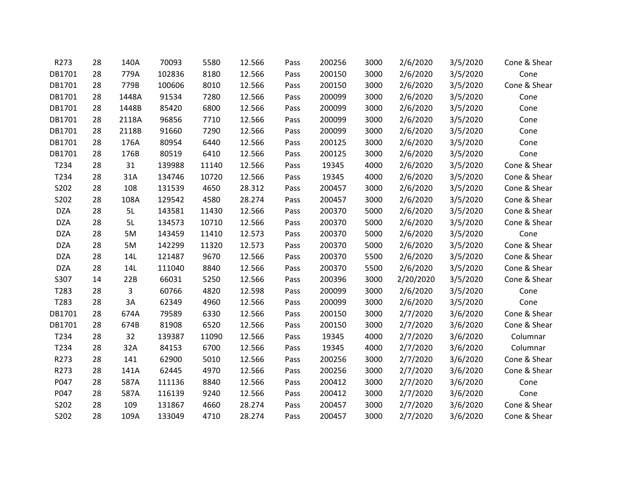| R273       | 28 | 140A  | 70093  | 5580  | 12.566 | Pass | 200256 | 3000 | 2/6/2020  | 3/5/2020 | Cone & Shear |
|------------|----|-------|--------|-------|--------|------|--------|------|-----------|----------|--------------|
| DB1701     | 28 | 779A  | 102836 | 8180  | 12.566 | Pass | 200150 | 3000 | 2/6/2020  | 3/5/2020 | Cone         |
| DB1701     | 28 | 779B  | 100606 | 8010  | 12.566 | Pass | 200150 | 3000 | 2/6/2020  | 3/5/2020 | Cone & Shear |
| DB1701     | 28 | 1448A | 91534  | 7280  | 12.566 | Pass | 200099 | 3000 | 2/6/2020  | 3/5/2020 | Cone         |
| DB1701     | 28 | 1448B | 85420  | 6800  | 12.566 | Pass | 200099 | 3000 | 2/6/2020  | 3/5/2020 | Cone         |
| DB1701     | 28 | 2118A | 96856  | 7710  | 12.566 | Pass | 200099 | 3000 | 2/6/2020  | 3/5/2020 | Cone         |
| DB1701     | 28 | 2118B | 91660  | 7290  | 12.566 | Pass | 200099 | 3000 | 2/6/2020  | 3/5/2020 | Cone         |
| DB1701     | 28 | 176A  | 80954  | 6440  | 12.566 | Pass | 200125 | 3000 | 2/6/2020  | 3/5/2020 | Cone         |
| DB1701     | 28 | 176B  | 80519  | 6410  | 12.566 | Pass | 200125 | 3000 | 2/6/2020  | 3/5/2020 | Cone         |
| T234       | 28 | 31    | 139988 | 11140 | 12.566 | Pass | 19345  | 4000 | 2/6/2020  | 3/5/2020 | Cone & Shear |
| T234       | 28 | 31A   | 134746 | 10720 | 12.566 | Pass | 19345  | 4000 | 2/6/2020  | 3/5/2020 | Cone & Shear |
| S202       | 28 | 108   | 131539 | 4650  | 28.312 | Pass | 200457 | 3000 | 2/6/2020  | 3/5/2020 | Cone & Shear |
| S202       | 28 | 108A  | 129542 | 4580  | 28.274 | Pass | 200457 | 3000 | 2/6/2020  | 3/5/2020 | Cone & Shear |
| <b>DZA</b> | 28 | 5L    | 143581 | 11430 | 12.566 | Pass | 200370 | 5000 | 2/6/2020  | 3/5/2020 | Cone & Shear |
| <b>DZA</b> | 28 | 5L    | 134573 | 10710 | 12.566 | Pass | 200370 | 5000 | 2/6/2020  | 3/5/2020 | Cone & Shear |
| <b>DZA</b> | 28 | 5M    | 143459 | 11410 | 12.573 | Pass | 200370 | 5000 | 2/6/2020  | 3/5/2020 | Cone         |
| <b>DZA</b> | 28 | 5M    | 142299 | 11320 | 12.573 | Pass | 200370 | 5000 | 2/6/2020  | 3/5/2020 | Cone & Shear |
| <b>DZA</b> | 28 | 14L   | 121487 | 9670  | 12.566 | Pass | 200370 | 5500 | 2/6/2020  | 3/5/2020 | Cone & Shear |
| <b>DZA</b> | 28 | 14L   | 111040 | 8840  | 12.566 | Pass | 200370 | 5500 | 2/6/2020  | 3/5/2020 | Cone & Shear |
| S307       | 14 | 22B   | 66031  | 5250  | 12.566 | Pass | 200396 | 3000 | 2/20/2020 | 3/5/2020 | Cone & Shear |
| T283       | 28 | 3     | 60766  | 4820  | 12.598 | Pass | 200099 | 3000 | 2/6/2020  | 3/5/2020 | Cone         |
| T283       | 28 | 3A    | 62349  | 4960  | 12.566 | Pass | 200099 | 3000 | 2/6/2020  | 3/5/2020 | Cone         |
| DB1701     | 28 | 674A  | 79589  | 6330  | 12.566 | Pass | 200150 | 3000 | 2/7/2020  | 3/6/2020 | Cone & Shear |
| DB1701     | 28 | 674B  | 81908  | 6520  | 12.566 | Pass | 200150 | 3000 | 2/7/2020  | 3/6/2020 | Cone & Shear |
| T234       | 28 | 32    | 139387 | 11090 | 12.566 | Pass | 19345  | 4000 | 2/7/2020  | 3/6/2020 | Columnar     |
| T234       | 28 | 32A   | 84153  | 6700  | 12.566 | Pass | 19345  | 4000 | 2/7/2020  | 3/6/2020 | Columnar     |
| R273       | 28 | 141   | 62900  | 5010  | 12.566 | Pass | 200256 | 3000 | 2/7/2020  | 3/6/2020 | Cone & Shear |
| R273       | 28 | 141A  | 62445  | 4970  | 12.566 | Pass | 200256 | 3000 | 2/7/2020  | 3/6/2020 | Cone & Shear |
| P047       | 28 | 587A  | 111136 | 8840  | 12.566 | Pass | 200412 | 3000 | 2/7/2020  | 3/6/2020 | Cone         |
| P047       | 28 | 587A  | 116139 | 9240  | 12.566 | Pass | 200412 | 3000 | 2/7/2020  | 3/6/2020 | Cone         |
| S202       | 28 | 109   | 131867 | 4660  | 28.274 | Pass | 200457 | 3000 | 2/7/2020  | 3/6/2020 | Cone & Shear |
| S202       | 28 | 109A  | 133049 | 4710  | 28.274 | Pass | 200457 | 3000 | 2/7/2020  | 3/6/2020 | Cone & Shear |